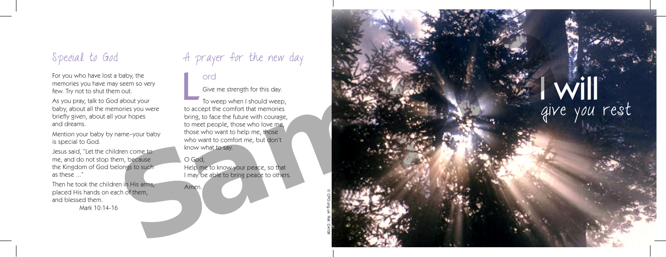For you who have lost a baby, the memories you have may seem so very few. Try not to shut them out.

As you pray, talk to God about your baby, about all the memories you were briefly given, about all your hopes and dreams.

Mention your baby by name–your baby is special to God.

Jesus said, "Let the children come to me, and do not stop them, because the Kingdom of God belongs to such as these "

Then he took the children in His arms, placed His hands on each of them, and blessed them.

Mark 10:14-16

# Special to God and A prayer for the new day

### ord

Give me strength for this day.

To weep when I should weep, to accept the comfort that memories bring, to face the future with courage, to meet people, those who love me, those who want to help me, those who want to comfort me, but don't know what to say. L

### O God,

Amen.

Help me to know your peace, so that I may be able to bring peace to others.

© CPO.org.uk Ref: C4109